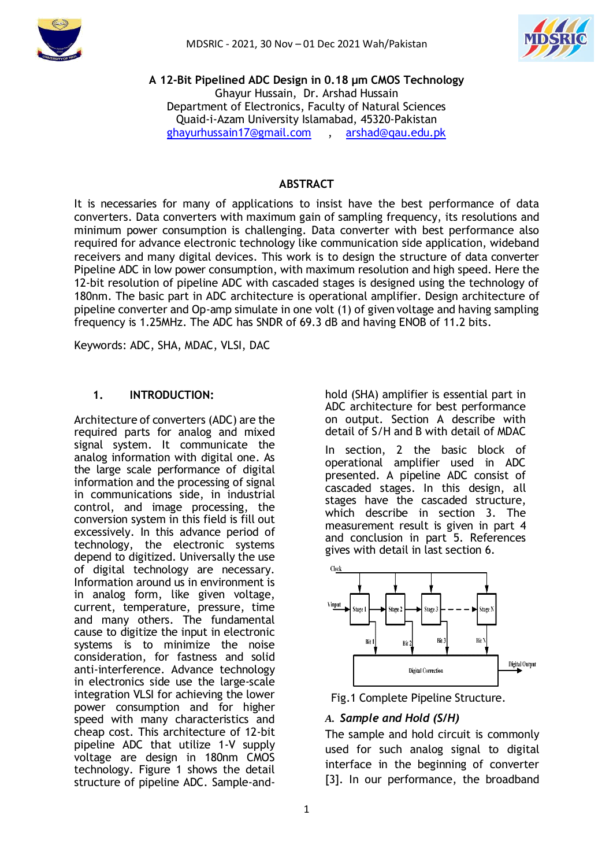



**A 12-Bit Pipelined ADC Design in 0.18 µm CMOS Technology** Ghayur Hussain, Dr. Arshad Hussain Department of Electronics, Faculty of Natural Sciences Quaid-i-Azam University Islamabad, 45320-Pakistan [ghayurhussain17@gmail.com](mailto:ghayurhussain17@gmail.com) , [arshad@qau.edu.pk](mailto:arshad@qau.edu.pk)

## **ABSTRACT**

It is necessaries for many of applications to insist have the best performance of data converters. Data converters with maximum gain of sampling frequency, its resolutions and minimum power consumption is challenging. Data converter with best performance also required for advance electronic technology like communication side application, wideband receivers and many digital devices. This work is to design the structure of data converter Pipeline ADC in low power consumption, with maximum resolution and high speed. Here the 12-bit resolution of pipeline ADC with cascaded stages is designed using the technology of 180nm. The basic part in ADC architecture is operational amplifier. Design architecture of pipeline converter and Op-amp simulate in one volt (1) of given voltage and having sampling frequency is 1.25MHz. The ADC has SNDR of 69.3 dB and having ENOB of 11.2 bits.

Keywords: ADC, SHA, MDAC, VLSI, DAC

## **1. INTRODUCTION:**

Architecture of converters (ADC) are the required parts for analog and mixed signal system. It communicate the analog information with digital one. As the large scale performance of digital information and the processing of signal in communications side, in industrial control, and image processing, the conversion system in this field is fill out excessively. In this advance period of technology, the electronic systems depend to digitized. Universally the use of digital technology are necessary. Information around us in environment is in analog form, like given voltage, current, temperature, pressure, time and many others. The fundamental cause to digitize the input in electronic systems is to minimize the noise consideration, for fastness and solid anti-interference. Advance technology in electronics side use the large-scale integration VLSI for achieving the lower power consumption and for higher speed with many characteristics and cheap cost. This architecture of 12-bit pipeline ADC that utilize 1-V supply voltage are design in 180nm CMOS technology. Figure 1 shows the detail structure of pipeline ADC. Sample-andhold (SHA) amplifier is essential part in ADC architecture for best performance on output. Section A describe with detail of S/H and B with detail of MDAC

In section, 2 the basic block of operational amplifier used in ADC presented. A pipeline ADC consist of cascaded stages. In this design, all stages have the cascaded structure, which describe in section 3. The measurement result is given in part 4 and conclusion in part 5. References gives with detail in last section 6.





# *A. Sample and Hold (S/H)*

The sample and hold circuit is commonly used for such analog signal to digital interface in the beginning of converter [3]. In our performance, the broadband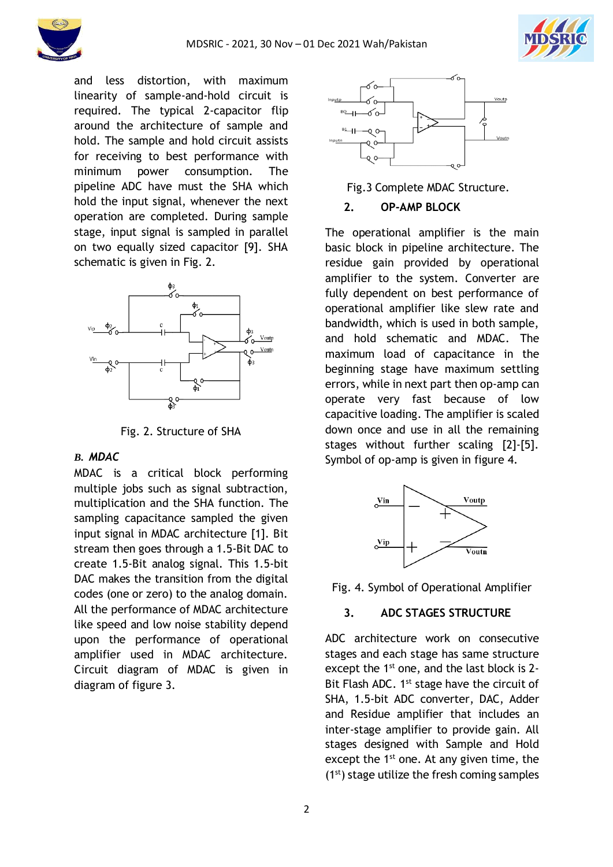



and less distortion, with maximum linearity of sample-and-hold circuit is required. The typical 2-capacitor flip around the architecture of sample and hold. The sample and hold circuit assists for receiving to best performance with minimum power consumption. The pipeline ADC have must the SHA which hold the input signal, whenever the next operation are completed. During sample stage, input signal is sampled in parallel on two equally sized capacitor [9]. SHA schematic is given in Fig. 2.



Fig. 2. Structure of SHA

## *B. MDAC*

MDAC is a critical block performing multiple jobs such as signal subtraction, multiplication and the SHA function. The sampling capacitance sampled the given input signal in MDAC architecture [1]. Bit stream then goes through a 1.5-Bit DAC to create 1.5-Bit analog signal. This 1.5-bit DAC makes the transition from the digital codes (one or zero) to the analog domain. All the performance of MDAC architecture like speed and low noise stability depend upon the performance of operational amplifier used in MDAC architecture. Circuit diagram of MDAC is given in diagram of figure 3.



Fig.3 Complete MDAC Structure.

#### **2. OP-AMP BLOCK**

The operational amplifier is the main basic block in pipeline architecture. The residue gain provided by operational amplifier to the system. Converter are fully dependent on best performance of operational amplifier like slew rate and bandwidth, which is used in both sample, and hold schematic and MDAC. The maximum load of capacitance in the beginning stage have maximum settling errors, while in next part then op-amp can operate very fast because of low capacitive loading. The amplifier is scaled down once and use in all the remaining stages without further scaling [2]-[5]. Symbol of op-amp is given in figure 4.



Fig. 4. Symbol of Operational Amplifier

## **3. ADC STAGES STRUCTURE**

ADC architecture work on consecutive stages and each stage has same structure except the 1<sup>st</sup> one, and the last block is 2-Bit Flash ADC. 1<sup>st</sup> stage have the circuit of SHA, 1.5-bit ADC converter, DAC, Adder and Residue amplifier that includes an inter-stage amplifier to provide gain. All stages designed with Sample and Hold except the  $1<sup>st</sup>$  one. At any given time, the  $(1<sup>st</sup>)$  stage utilize the fresh coming samples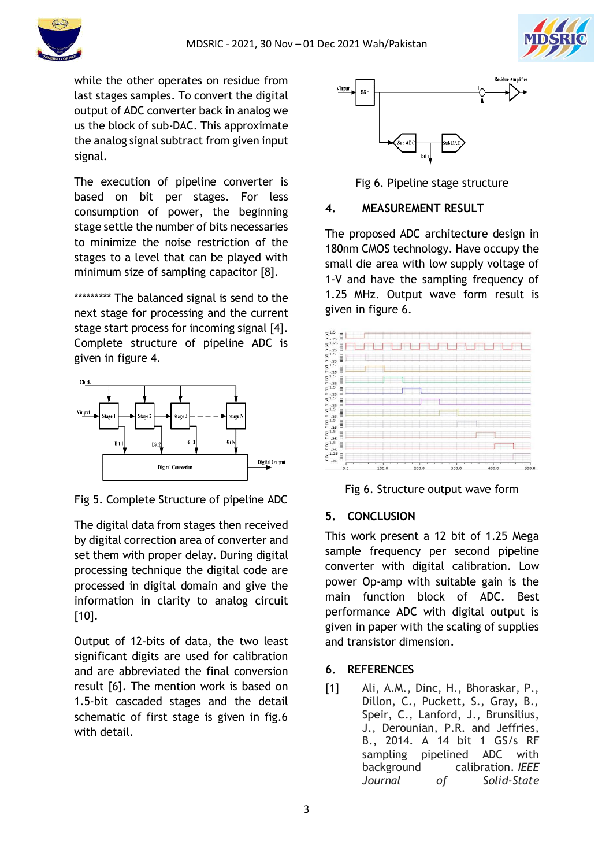



while the other operates on residue from last stages samples. To convert the digital output of ADC converter back in analog we us the block of sub-DAC. This approximate the analog signal subtract from given input signal.

The execution of pipeline converter is based on bit per stages. For less consumption of power, the beginning stage settle the number of bits necessaries to minimize the noise restriction of the stages to a level that can be played with minimum size of sampling capacitor [8].

\*\*\*\*\*\*\*\*\*\* The balanced signal is send to the next stage for processing and the current stage start process for incoming signal [4]. Complete structure of pipeline ADC is given in figure 4.



Fig 5. Complete Structure of pipeline ADC

The digital data from stages then received by digital correction area of converter and set them with proper delay. During digital processing technique the digital code are processed in digital domain and give the information in clarity to analog circuit [10].

Output of 12-bits of data, the two least significant digits are used for calibration and are abbreviated the final conversion result [6]. The mention work is based on 1.5-bit cascaded stages and the detail schematic of first stage is given in fig.6 with detail.



Fig 6. Pipeline stage structure

# **4. MEASUREMENT RESULT**

The proposed ADC architecture design in 180nm CMOS technology. Have occupy the small die area with low supply voltage of 1-V and have the sampling frequency of 1.25 MHz. Output wave form result is given in figure 6.



Fig 6. Structure output wave form

# **5. CONCLUSION**

This work present a 12 bit of 1.25 Mega sample frequency per second pipeline converter with digital calibration. Low power Op-amp with suitable gain is the main function block of ADC. Best performance ADC with digital output is given in paper with the scaling of supplies and transistor dimension.

# **6. REFERENCES**

[1] Ali, A.M., Dinc, H., Bhoraskar, P., Dillon, C., Puckett, S., Gray, B., Speir, C., Lanford, J., Brunsilius, J., Derounian, P.R. and Jeffries, B., 2014. A 14 bit 1 GS/s RF sampling pipelined ADC with background calibration. *IEEE Journal of Solid-State*